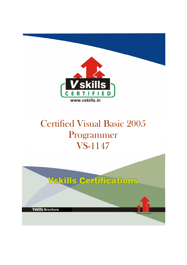

# Certified Visual Basic 2005 Programmer VS-1147

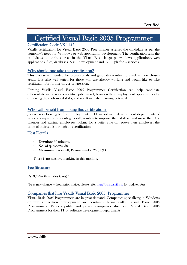# Certified Visual Basic 2005 Programmer

## Certification Code VS-1147

Vskills certification for Visual Basic 2005 Programmer assesses the candidate as per the company's need for Windows or web application development. The certification tests the candidates on various areas in the Visual Basic language, windows applications, web applications, files, databases, XML development and .NET platform services.

## Why should one take this certification?

This Course is intended for professionals and graduates wanting to excel in their chosen areas. It is also well suited for those who are already working and would like to take certification for further career progression.

Earning Vskills Visual Basic 2005 Programmer Certification can help candidate differentiate in today's competitive job market, broaden their employment opportunities by displaying their advanced skills, and result in higher earning potential.

## Who will benefit from taking this certification?

Job seekers looking to find employment in IT or software development departments of various companies, students generally wanting to improve their skill set and make their CV stronger and existing employees looking for a better role can prove their employers the value of their skills through this certification.

## Test Details

- Duration:  $60$  minutes
- No. of questions:  $50$
- **Maximum marks:** 50, Passing marks:  $25(50\%)$

There is no negative marking in this module.

## **Fee Structure**

Rs. 3,499/- (Excludes taxes)\*

\*Fees may change without prior notice, please refer http://www.vskills.in for updated fees

## Companies that hire Vskills Visual Basic 2005 Programmer

Visual Basic 2005 Programmers are in great demand. Companies specializing in Windows or web application development are constantly hiring skilled Visual Basic 2005 Programmers. Various public and private companies also need Visual Basic 2005 Programmers for their IT or software development departments.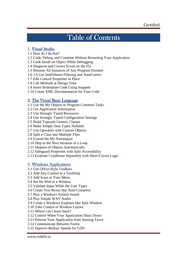## Table of Contents

## 1. Visual Studio

- 1.1 How do I do that?
- 1.2 Code, Debug, and Continue Without Restarting Your Application
- 1.3 Look Inside an Object While Debugging
- 1.4 Diagnose and Correct Errors on the Fly
- 1.5 Rename All Instances of Any Program Element
- 1.6 1.6 Use IntelliSense Filtering and AutoCorrect
- 1.7 Edit Control Properties in Place
- 1.8 Call Methods at Design Time
- 1.9 Insert Boilerplate Code Using Snippets
- 1.10 Create XML Documentation for Your Code

## 2. The Visual Basic Language

- 2.1 Use the My Objects to Program Common Tasks
- 2.2 Get Application Information
- 2.3 Use Strongly Typed Resources
- 2.4 Use Strongly Typed Configuration Settings
- 2.5 Build Typesafe Generic Classes
- 2.6 Make Simple Data Types Nullable
- 2.7 Use Operators with Custom Objects
- 2.8 Split a Class into Multiple Files
- 2.9 Extend the My Namespace
- 2.10 Skip to the Next Iteration of a Loop
- 2.11 Dispose of Objects Automatically
- 2.12 Safeguard Properties with Split Accessibility
- 2.13 Evaluate Conditions Separately with Short-Circuit Logic

## 3. Windows Applications

- 3.1 Use Office-Style Toolbars
- 3.2 Add Any Control to a ToolStrip
- 3.3 Add Icons to Your Menu
- 3.4 Put the Web in a Window
- 3.5 Validate Input While the User Types
- 3.6 Create Text Boxes that Auto-Complete
- 3.7 Play a Windows System Sound
- 3.8 Play Simple WAV Audio
- 3.9 Create a Windows Explorer-like Split Window
- 3.10 Take Control of Window Layout
- 3.11 Where can I learn more?
- 3.12 Control When Your Application Shuts Down
- 3.13 Prevent Your Application from Starting Twice
- 3.14 Communicate Between Forms
- 3.15 Improve Redraw Speeds for GDI+

www.vskills.in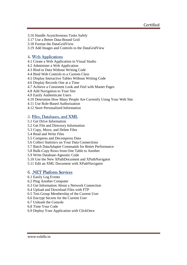- 3.16 Handle Asynchronous Tasks Safely
- 3.17 Use a Better Data-Bound Grid
- 3.18 Format the DataGridView
- 3.19 Add Images and Controls to the DataGridView

## 4. Web Applications

- 4.1 Create a Web Application in Visual Studio
- 4.2 Administer a Web Application
- 4.3 Bind to Data Without Writing Code
- 4.4 Bind Web Controls to a Custom Class
- 4.5 Display Interactive Tables Without Writing Code
- 4.6 Display Records One at a Time
- 4.7 Achieve a Consistent Look and Feel with Master Pages
- 4.8 Add Navigation to Your Site
- 4.9 Easily Authenticate Users
- 4.10 Determine How Many People Are Currently Using Your Web Site
- 4.11 Use Role-Based Authorization
- 4.12 Store Personalized Information

## 5. Files, Databases, and XML

- 5.1 Get Drive Information
- 5.2 Get File and Directory Information
- 5.3 Copy, Move, and Delete Files
- 5.4 Read and Write Files
- 5.5 Compress and Decompress Data
- 5.6 Collect Statistics on Your Data Connections
- 5.7 Batch DataAdapter Commands for Better Performance
- 5.8 Bulk-Copy Rows from One Table to Another
- 5.9 Write Database-Agnostic Code
- 5.10 Use the New XPathDocument and XPathNavigator
- 5.11 Edit an XML Document with XPathNavigator

## 6. .NET Platform Services

- 6.1 Easily Log Events
- 6.2 Ping Another Computer
- 6.3 Get Information About a Network Connection
- 6.4 Upload and Download Files with FTP
- 6.5 Test Group Membership of the Current User
- 6.6 Encrypt Secrets for the Current User
- 6.7 Unleash the Console
- 6.8 Time Your Code
- 6.9 Deploy Your Application with ClickOnce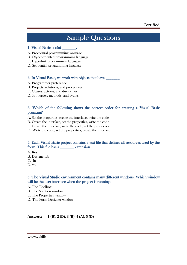## **Sample Questions**

#### 1. Visual Basic is  $a(n)$

- A. Procedural programming language
- B. Object-oriented programming language
- C. Hyperlink programming language
- D. Sequential programming language

### 2. In Visual Basic, we work with objects that have  $\qquad \qquad$ .

- A. Programmer preference
- B. Projects, solutions, and procedures
- C. Classes, actions, and disciplines
- D. Properties, methods, and events

## 3. Which of the following shows the correct order for creating a Visual Basic program? program?

- A. Set the properties, create the interface, write the code
- B. Create the interface, set the properties, write the code
- C. Create the interface, write the code, set the properties
- D. Write the code, set the properties, create the interface

## 4. Each Visual Basic project contains a text file that defines all resources used by the form. This file has a \_\_\_\_\_\_\_\_\_ extension

A. Resx B. Designer.vb C. sln D. vb

## 5. The Visual Studio environment contains many different windows. Which window will be the user interface when the project is running?

- A. The Toolbox
- B. The Solution window
- C. The Properties window
- D. The Form Designer window

**Answers: 1 (B), 2 (D), 3 (B), 4 (A), 5 (D)**